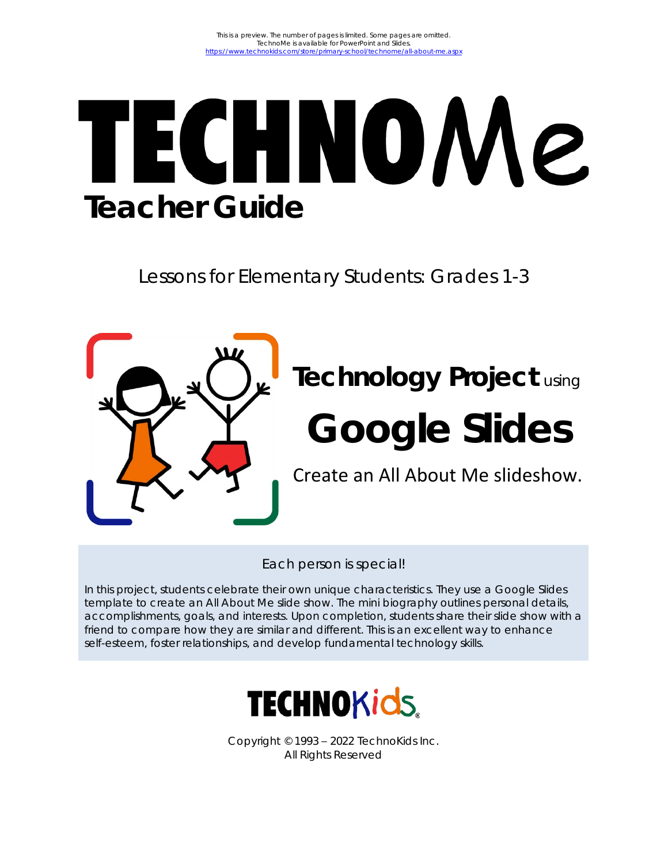# **TECHNOMe Teacher Guide**

Lessons for Elementary Students: Grades 1-3



## **Technology Project** using

## **Google Slides**

Create an All About Me slideshow.

Each person is special!

In this project, students celebrate their own unique characteristics. They use a Google Slides template to create an All About Me slide show. The mini biography outlines personal details, accomplishments, goals, and interests. Upon completion, students share their slide show with a friend to compare how they are similar and different. This is an excellent way to enhance self-esteem, foster relationships, and develop fundamental technology skills.



Copyright © 1993 – 2022 TechnoKids Inc. All Rights Reserved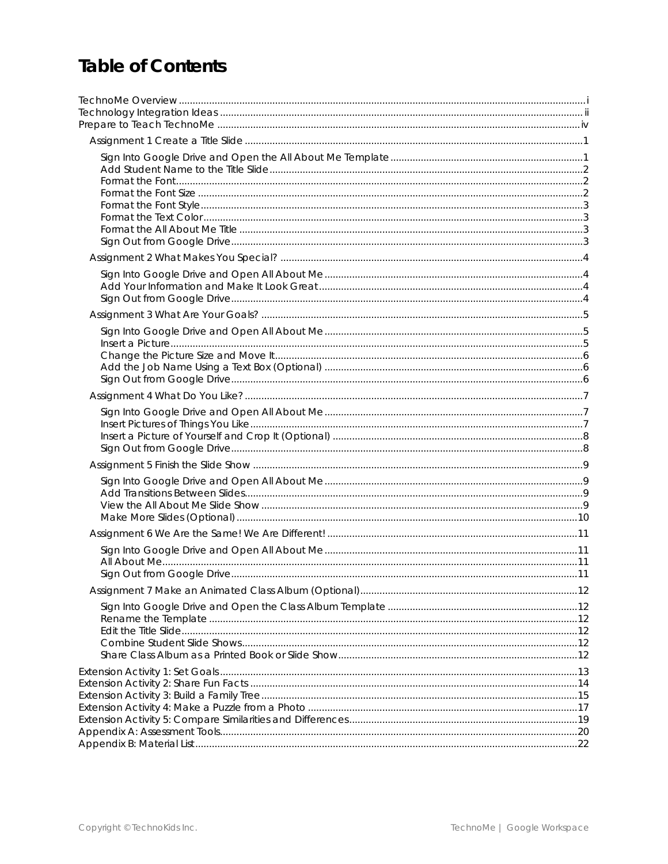## **Table of Contents**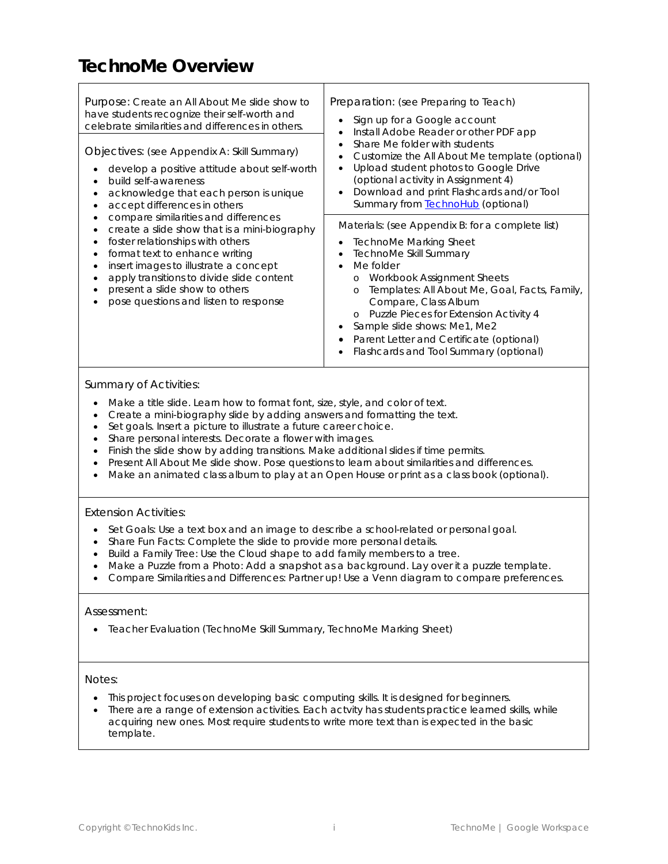## **TechnoMe Overview**

| Purpose: Create an All About Me slide show to<br>have students recognize their self-worth and<br>celebrate similarities and differences in others.                                                                                                                                                                          | Preparation: (see Preparing to Teach)<br>Sign up for a Google account<br>Install Adobe Reader or other PDF app                                                                                                                                                                                                                                                                                                  |
|-----------------------------------------------------------------------------------------------------------------------------------------------------------------------------------------------------------------------------------------------------------------------------------------------------------------------------|-----------------------------------------------------------------------------------------------------------------------------------------------------------------------------------------------------------------------------------------------------------------------------------------------------------------------------------------------------------------------------------------------------------------|
| Objectives: (see Appendix A: Skill Summary)<br>develop a positive attitude about self-worth<br>build self-awareness<br>acknowledge that each person is unique<br>accept differences in others                                                                                                                               | Share Me folder with students<br>Customize the All About Me template (optional)<br>Upload student photos to Google Drive<br>(optional activity in Assignment 4)<br>Download and print Flashcards and/or Tool<br>Summary from <b>TechnoHub</b> (optional)                                                                                                                                                        |
| compare similarities and differences<br>create a slide show that is a mini-biography<br>foster relationships with others<br>format text to enhance writing<br>insert images to illustrate a concept<br>apply transitions to divide slide content<br>present a slide show to others<br>pose questions and listen to response | Materials: (see Appendix B: for a complete list)<br>TechnoMe Marking Sheet<br>TechnoMe Skill Summary<br>Me folder<br>Workbook Assignment Sheets<br>$\circ$<br>Templates: All About Me, Goal, Facts, Family,<br>$\Omega$<br>Compare, Class Album<br>Puzzle Pieces for Extension Activity 4<br>Sample slide shows: Me1, Me2<br>Parent Letter and Certificate (optional)<br>Flashcards and Tool Summary (optional) |

#### *Summary of Activities:*

- Make a title slide. Learn how to format font, size, style, and color of text.
- Create a mini-biography slide by adding answers and formatting the text.
- Set goals. Insert a picture to illustrate a future career choice.
- Share personal interests. Decorate a flower with images.
- Finish the slide show by adding transitions. Make additional slides if time permits.
- Present *All About Me* slide show. Pose questions to learn about similarities and differences.
- Make an animated class album to play at an Open House or print as a class book (optional).

#### *Extension Activities:*

- Set Goals: Use a text box and an image to describe a school-related or personal goal.
- Share Fun Facts: Complete the slide to provide more personal details.
- Build a Family Tree: Use the Cloud shape to add family members to a tree.
- Make a Puzzle from a Photo: Add a snapshot as a background. Lay over it a puzzle template.
- Compare Similarities and Differences: Partner up! Use a Venn diagram to compare preferences.

#### *Assessment:*

• Teacher Evaluation (TechnoMe Skill Summary, TechnoMe Marking Sheet)

#### *Notes:*

- This project focuses on developing basic computing skills. It is designed for beginners.
- There are a range of extension activities. Each actvity has students practice learned skills, while acquiring new ones. Most require students to write more text than is expected in the basic template.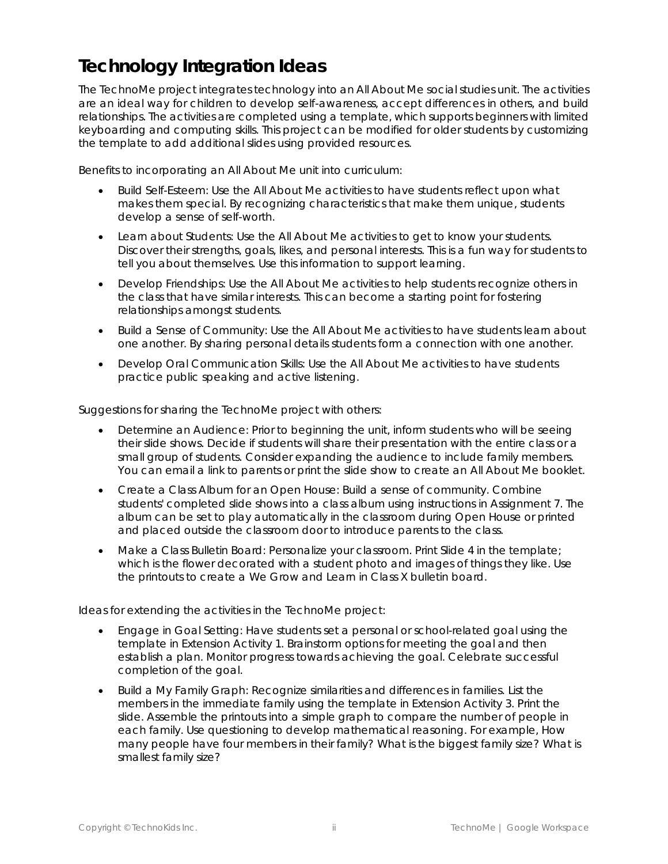## **Technology Integration Ideas**

The TechnoMe project integrates technology into an *All About Me* social studies unit. The activities are an ideal way for children to develop self-awareness, accept differences in others, and build relationships. The activities are completed using a template, which supports beginners with limited keyboarding and computing skills. This project can be modified for older students by customizing the template to add additional slides using provided resources.

Benefits to incorporating an *All About Me* unit into curriculum:

- *Build Self-Esteem:* Use the *All About Me* activities to have students reflect upon what makes them special. By recognizing characteristics that make them unique, students develop a sense of self-worth.
- *Learn about Students:* Use the *All About Me* activities to get to know your students. Discover their strengths, goals, likes, and personal interests. This is a fun way for students to tell you about themselves. Use this information to support learning.
- *Develop Friendships:* Use the *All About Me* activities to help students recognize others in the class that have similar interests. This can become a starting point for fostering relationships amongst students.
- *Build a Sense of Community:* Use the *All About Me* activities to have students learn about one another. By sharing personal details students form a connection with one another.
- Develop Oral Communication Skills: Use the All About Me activities to have students practice public speaking and active listening.

Suggestions for sharing the TechnoMe project with others:

- *Determine an Audience:* Prior to beginning the unit, inform students who will be seeing their slide shows. Decide if students will share their presentation with the entire class or a small group of students. Consider expanding the audience to include family members. You can email a link to parents or print the slide show to create an *All About Me* booklet.
- *Create a Class Album for an Open House:* Build a sense of community. Combine students' completed slide shows into a class album using instructions in Assignment 7. The album can be set to play automatically in the classroom during Open House or printed and placed outside the classroom door to introduce parents to the class.
- *Make a Class Bulletin Board:* Personalize your classroom. Print Slide 4 in the template; which is the flower decorated with a student photo and images of things they like. Use the printouts to create a *We Grow and Learn in Class X* bulletin board.

Ideas for extending the activities in the TechnoMe project:

- *Engage in Goal Setting*: Have students set a personal or school-related goal using the template in Extension Activity 1. Brainstorm options for meeting the goal and then establish a plan. Monitor progress towards achieving the goal. Celebrate successful completion of the goal.
- *Build a My Family Graph:* Recognize similarities and differences in families. List the members in the immediate family using the template in Extension Activity 3. Print the slide. Assemble the printouts into a simple graph to compare the number of people in each family. Use questioning to develop mathematical reasoning. For example, *How many people have four members in their family? What is the biggest family size? What is smallest family size?*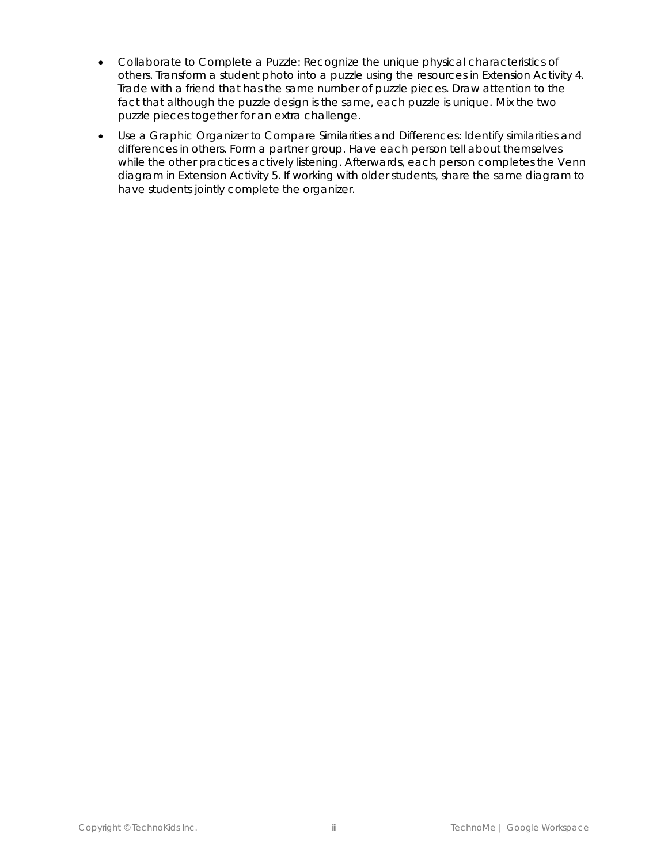- *Collaborate to Complete a Puzzle:* Recognize the unique physical characteristics of others. Transform a student photo into a puzzle using the resources in Extension Activity 4. Trade with a friend that has the same number of puzzle pieces. Draw attention to the fact that although the puzzle design is the same, each puzzle is unique. Mix the two puzzle pieces together for an extra challenge.
- *Use a Graphic Organizer to Compare Similarities and Differences*: Identify similarities and differences in others. Form a partner group. Have each person tell about themselves while the other practices actively listening. Afterwards, each person completes the Venn diagram in Extension Activity 5. If working with older students, share the same diagram to have students jointly complete the organizer.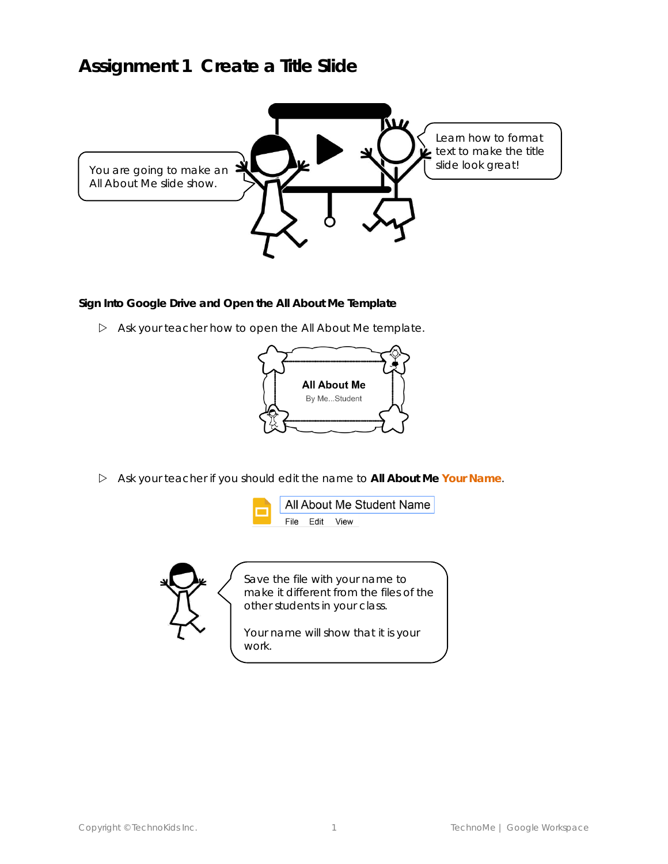## **Assignment 1 Create a Title Slide**



**Sign Into Google Drive and Open the All About Me Template**

Ask your teacher how to open the *All About Me* template.



Ask your teacher if you should edit the name to **All About Me** *Your Name*.





Save the file with your name to make it different from the files of the other students in your class.

Your name will show that it is your work.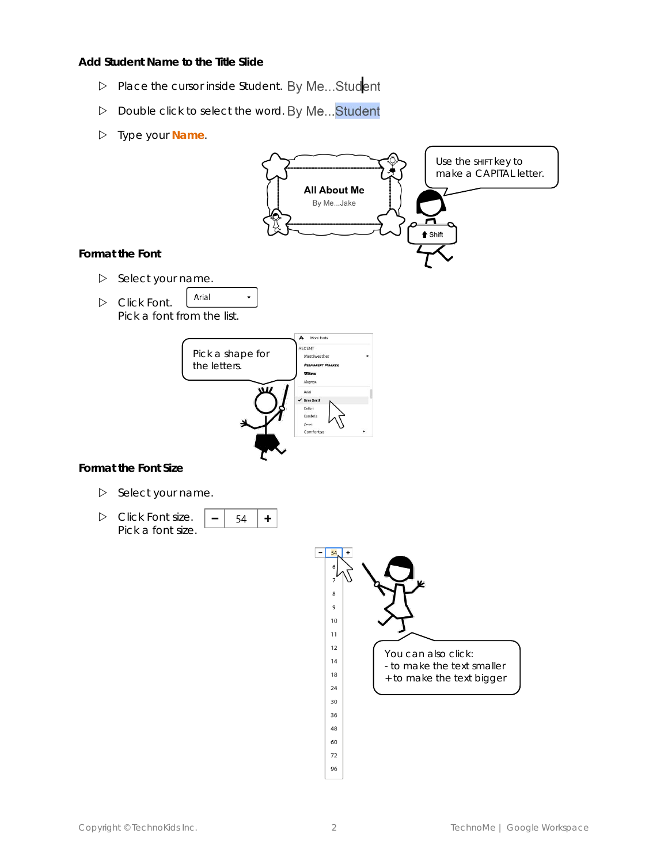**Add Student Name to the Title Slide**

- Place the cursor inside Student. By Me... Student
- D Double click to select the word. By Me... Student
- Type your *Name*.

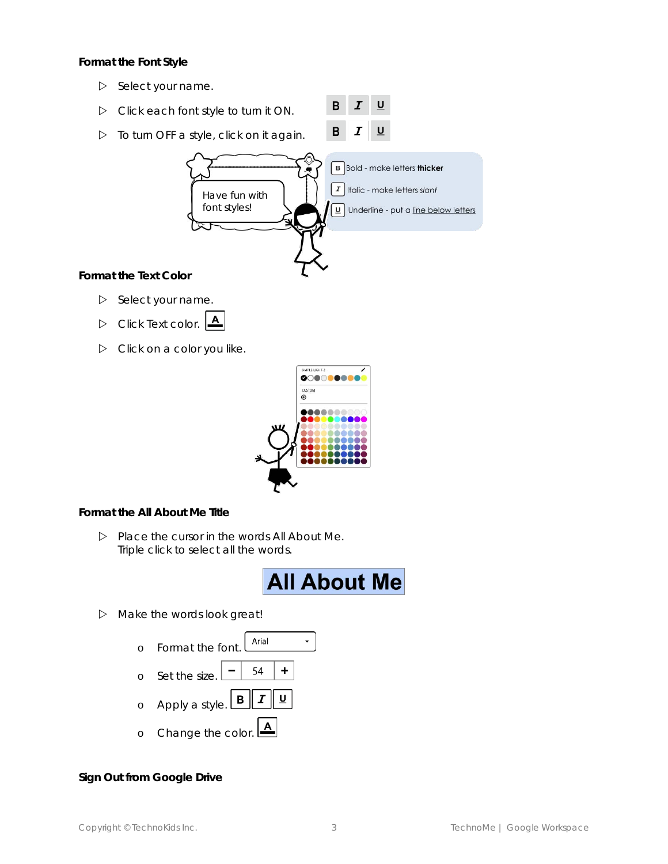**Format the Font Style**

- $\triangleright$  Select your name.
- $\boldsymbol{I}$ B Click each font style to turn it ON.
- To turn OFF a style, click on it again.



 $\, {\bf B}$ 

 $\boldsymbol{I}$ 

 $\underline{\mathsf{U}}$ 

 $\underline{\mathsf{U}}$ 

 $\triangleright$  Select your name.

- Click *Text color*.
- $\triangleright$  Click on a color you like.



**Format the All About Me Title**

 Place the cursor in the words *All About Me*. Triple click to select all the words.



 $\triangleright$  Make the words look great!

| Format the font. <b>LArial</b>                                   |
|------------------------------------------------------------------|
|                                                                  |
| o Apply a style. $\boxed{B \parallel I \parallel \underline{u}}$ |
| o Change the color. $\boxed{\triangle}$                          |

**Sign Out from Google Drive**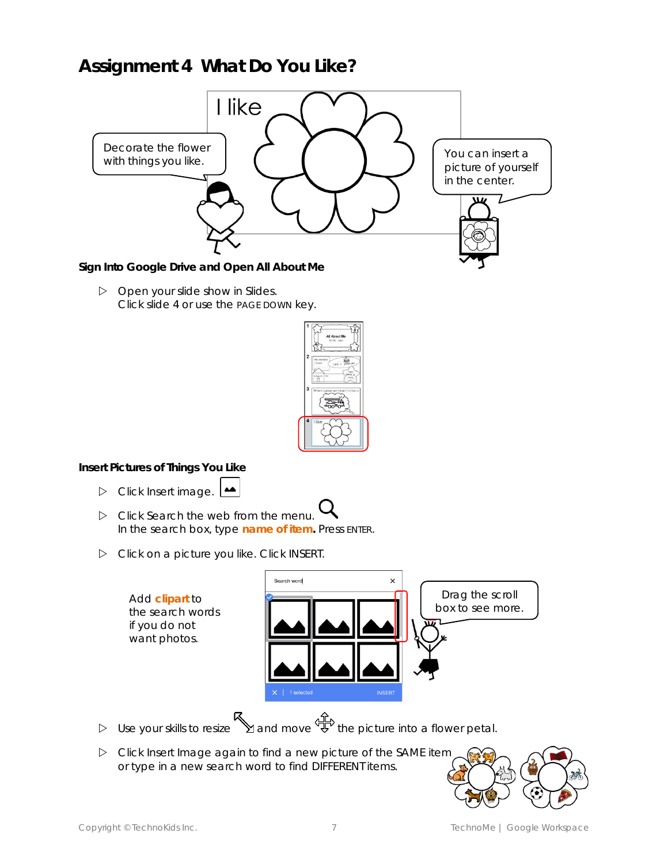## **Assignment 4 What Do You Like?**



**Sign Into Google Drive and Open All About Me**

 $\triangleright$  Open your slide show in Slides. Click slide 4 or use the PAGE DOWN key.



**Insert Pictures of Things You Like**

- Click *Insert image.*
- Click *Search the web* from the menu*.* In the search box, type *name of item***.** Press ENTER.
- Click on a picture you like. Click *INSERT*.



- $\triangleright$  Use your skills to resize  $\mathbb N$  and move  $\mathbb P$  the picture into a flower petal.
- Click *Insert Image* again to find a new picture of the SAME item or type in a new search word to find DIFFERENT items.

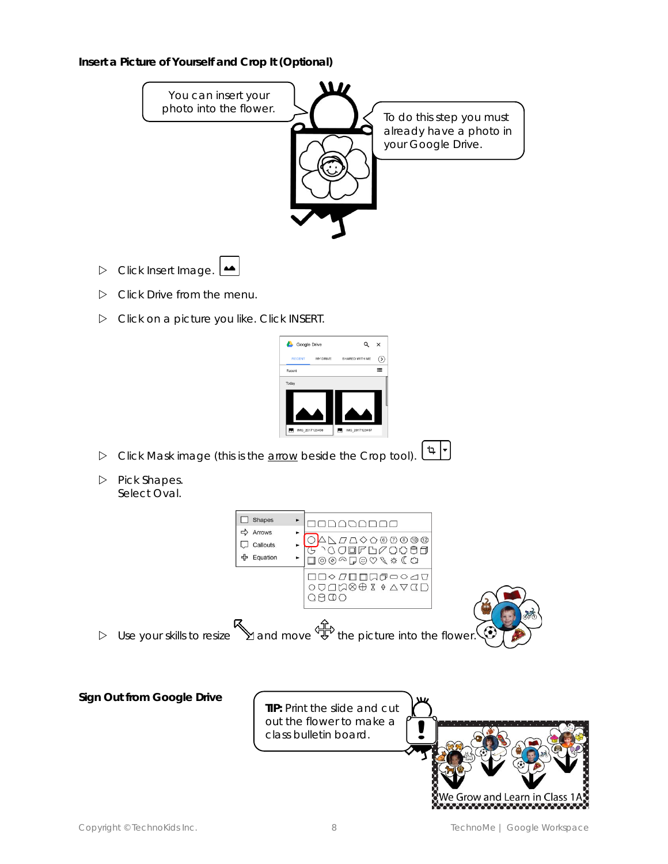**Insert a Picture of Yourself and Crop It (Optional)**



Click on a picture you like. Click *INSERT*.



- + | ⊄ Click *Mask image (this is the arrow beside the Crop tool).*
- Pick *Shapes*. Select *Oval*.

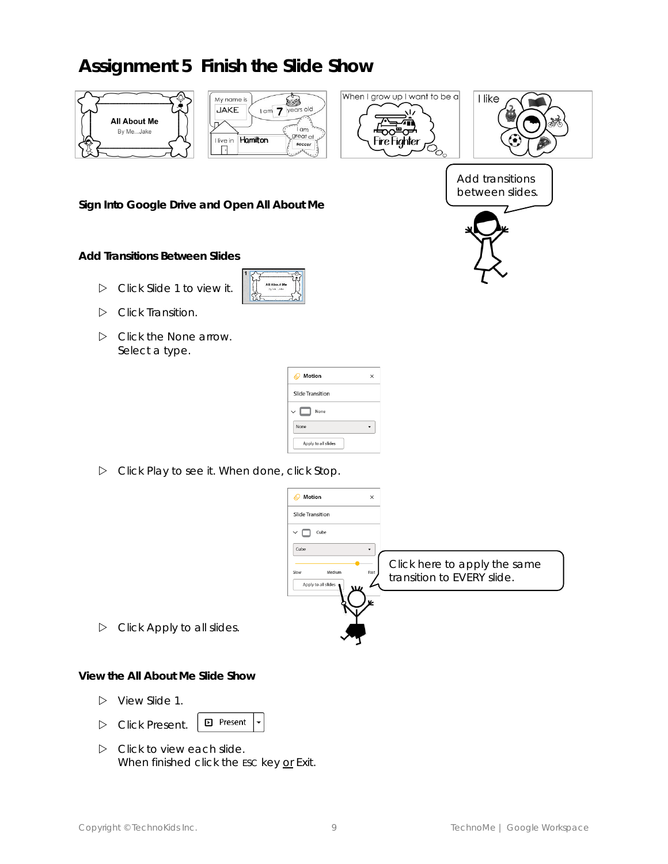## **Assignment 5 Finish the Slide Show**









Add transitions between slides.

**Sign Into Google Drive and Open All About Me**

**Add Transitions Between Slides**

- Click *Slide 1* to view it.
- Click *Transition.*
- Click the *None* arrow. Select a type.

| <b>Motion</b>           | × |
|-------------------------|---|
| <b>Slide Transition</b> |   |
| $\checkmark$<br>None    |   |
| None                    |   |
| Apply to all slides     |   |

Click *Play* to see it*.* When done, click *Stop*.



Click *Apply to all slides.*

**View the All About Me Slide Show**

- View *Slide 1*.
- **D** Present Click *Present*.
- $\triangleright$  Click to view each slide. When finished click the ESC key or *Exit*.

 $\overline{\phantom{0}}$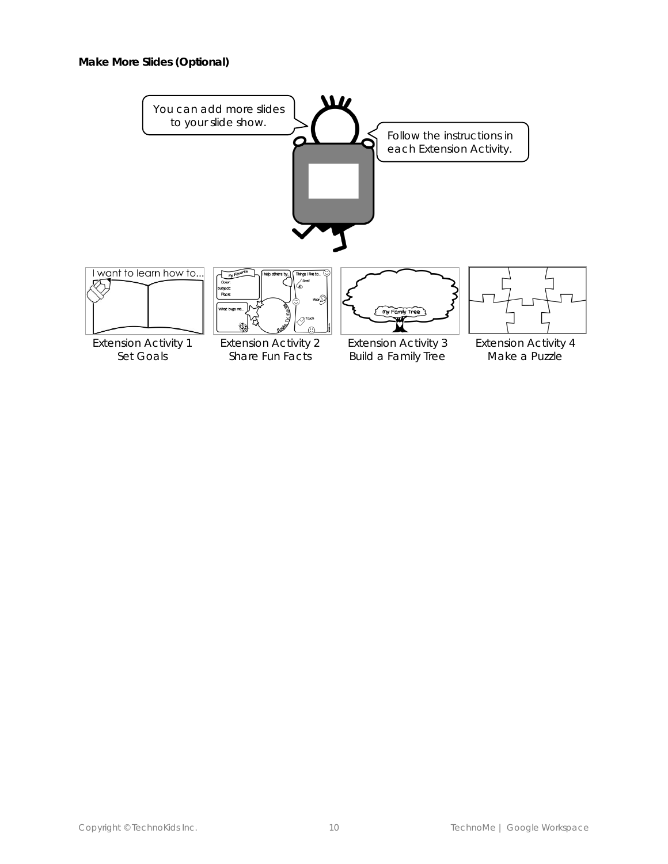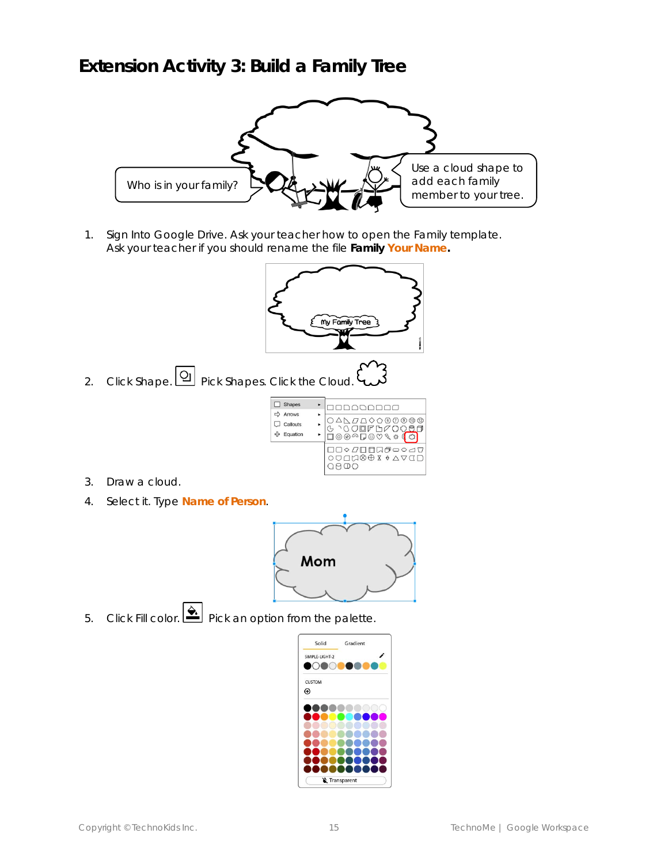## **Extension Activity 3: Build a Family Tree**



1. Sign Into Google Drive. Ask your teacher how to open the *Family* template. Ask your teacher if you should rename the file **Family** *Your Name***.**



2. Click *Shape*. Pick *Shapes.* Click the *Cloud*.

| <b>Shapes</b><br>Arrows<br>Callouts<br>Equation | ◯△ <u>\</u> <i>ଯ∆</i> ◇◇®®®®®<br>\$`Ა୦QQFb⊄Q <del>Q88</del><br>]◎◎△Q♡♡९ \$ <b>(</b> C) |
|-------------------------------------------------|----------------------------------------------------------------------------------------|
|                                                 | QQ <i>QQ</i> QQ\$€X\$YQQ                                                               |

- 3. Draw a cloud.
- 4. Select it. Type *Name of Person*.



5. Click Fill color. **A** Pick an option from the palette.

| Solid          | Gradient    |
|----------------|-------------|
| SIMPLE-LIGHT-2 |             |
| V<br>×         |             |
| <b>CUSTOM</b>  |             |
| ⊕              |             |
|                |             |
|                |             |
|                |             |
|                |             |
|                |             |
|                |             |
|                | Transparent |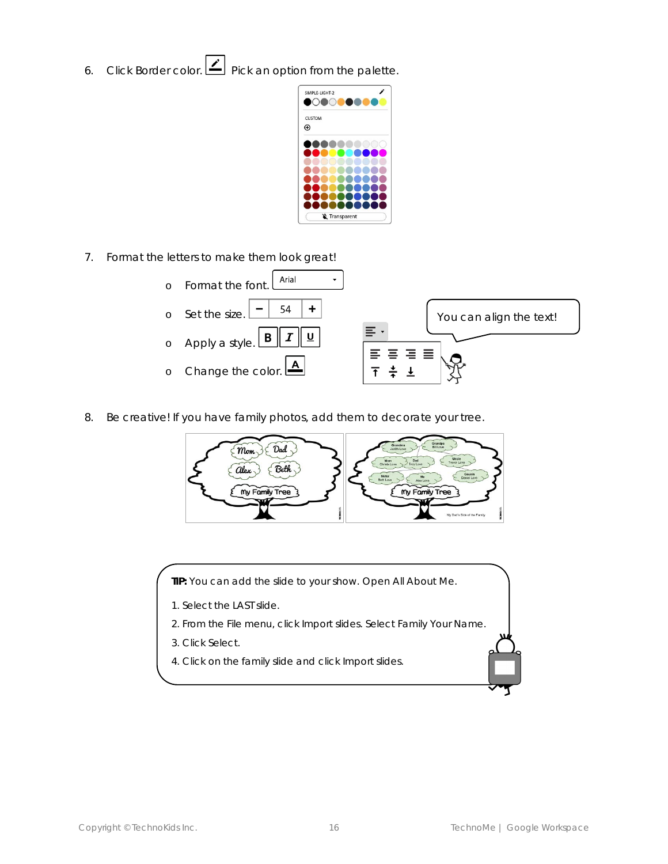6. Click Border color. **Prick an option from the palette.** 

| I<br>œ |             |  |
|--------|-------------|--|
|        |             |  |
| CUSTOM |             |  |
| ⊕      |             |  |
|        |             |  |
|        |             |  |
|        |             |  |
|        |             |  |
|        |             |  |
|        |             |  |
|        |             |  |
|        |             |  |
|        |             |  |
|        | Transparent |  |

7. Format the letters to make them look great!



8. Be creative! If you have family photos, add them to decorate your tree.



**TIP:** You can add the slide to your show. Open *All About Me*.

- 1. Select the LAST slide.
- 2. From the File menu, click *Import slides*. Select *Family Your Name*.
- 3. Click *Select.*
- 4. Click on the family slide and click *Import slides.*